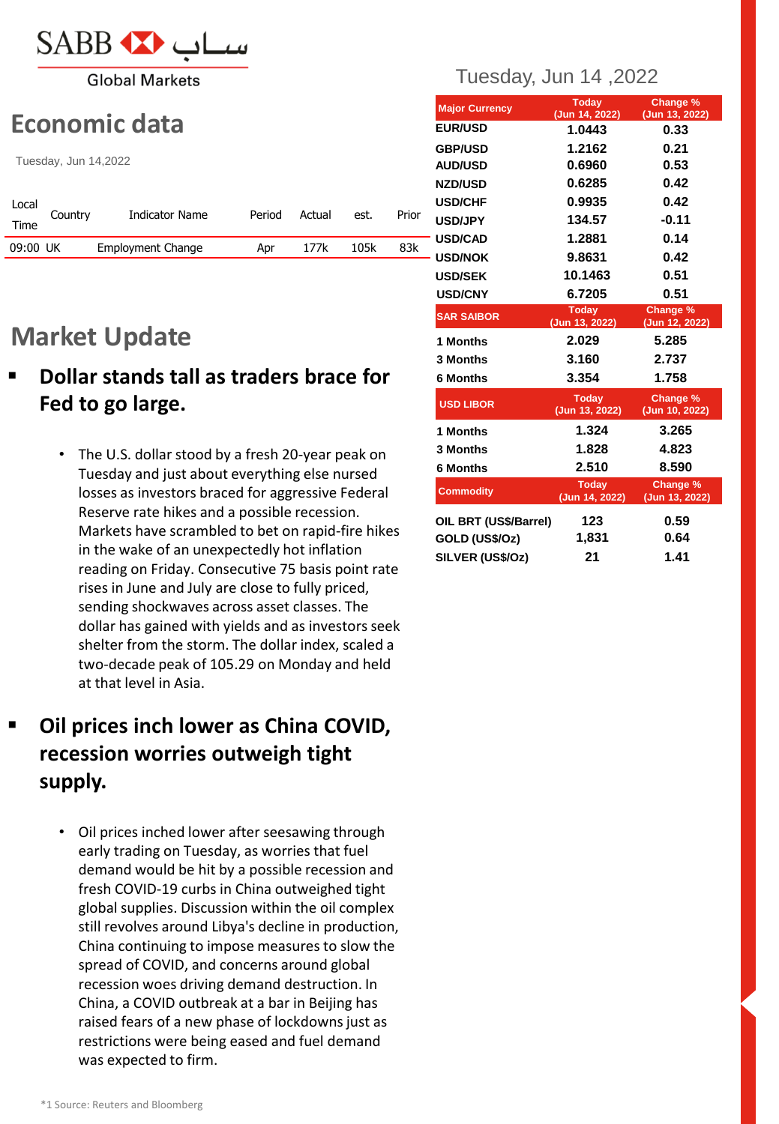

**Global Markets** 

# **Economic data**

Tuesday, Jun 14,2022

| Local<br>Time | Country | Indicator Name    | Period | Actual | est. | Prior |
|---------------|---------|-------------------|--------|--------|------|-------|
| 09:00 UK      |         | Employment Change | Apr    | 177k   | 105k | 83k   |

# **Market Update**

- **Dollar stands tall as traders brace for Fed to go large.**
	- The U.S. dollar stood by a fresh 20-year peak on Tuesday and just about everything else nursed losses as investors braced for aggressive Federal Reserve rate hikes and a possible recession. Markets have scrambled to bet on rapid-fire hikes in the wake of an unexpectedly hot inflation reading on Friday. Consecutive 75 basis point rate rises in June and July are close to fully priced, sending shockwaves across asset classes. The dollar has gained with yields and as investors seek shelter from the storm. The dollar index, scaled a two-decade peak of 105.29 on Monday and held at that level in Asia.

# **Oil prices inch lower as China COVID, recession worries outweigh tight supply.**

• Oil prices inched lower after seesawing through early trading on Tuesday, as worries that fuel demand would be hit by a possible recession and fresh COVID-19 curbs in China outweighed tight global supplies. Discussion within the oil complex still revolves around Libya's decline in production, China continuing to impose measures to slow the spread of COVID, and concerns around global recession woes driving demand destruction. In China, a COVID outbreak at a bar in Beijing has raised fears of a new phase of lockdowns just as restrictions were being eased and fuel demand was expected to firm.

## Tuesday, Jun 14 ,2022

| <b>Major Currency</b> | <b>Today</b><br>(Jun 14, 2022) | Change %<br>(Jun 13, 2022) |
|-----------------------|--------------------------------|----------------------------|
| <b>EUR/USD</b>        | 1.0443                         | 0.33                       |
| <b>GBP/USD</b>        | 1.2162                         | 0.21                       |
| <b>AUD/USD</b>        | 0.6960                         | 0.53                       |
| <b>NZD/USD</b>        | 0.6285                         | 0.42                       |
| <b>USD/CHF</b>        | 0.9935                         | 0.42                       |
| <b>USD/JPY</b>        | 134.57                         | $-0.11$                    |
| - USD/CAD             | 1.2881                         | 0.14                       |
| - USD/NOK             | 9.8631                         | 0.42                       |
| <b>USD/SEK</b>        | 10.1463                        | 0.51                       |
| <b>USD/CNY</b>        | 6.7205                         | 0.51                       |
| <b>SAR SAIBOR</b>     | <b>Today</b><br>(Jun 13, 2022) | Change %<br>(Jun 12, 2022) |
| 1 Months              | 2.029                          | 5.285                      |
| 3 Months              | 3.160                          | 2.737                      |
| 6 Months              | 3.354                          | 1.758                      |
| <b>USD LIBOR</b>      | <b>Today</b><br>(Jun 13, 2022) | Change %<br>(Jun 10, 2022) |
| 1 Months              | 1.324                          | 3.265                      |
| 3 Months              | 1.828                          | 4.823                      |
| <b>6 Months</b>       | 2.510                          | 8.590                      |
| <b>Commodity</b>      | <b>Today</b><br>(Jun 14, 2022) | Change %<br>(Jun 13, 2022) |
| OIL BRT (US\$/Barrel) | 123                            | 0.59                       |
| GOLD (US\$/Oz)        | 1,831                          | 0.64                       |
| SILVER (US\$/Oz)      | 21                             | 1.41                       |